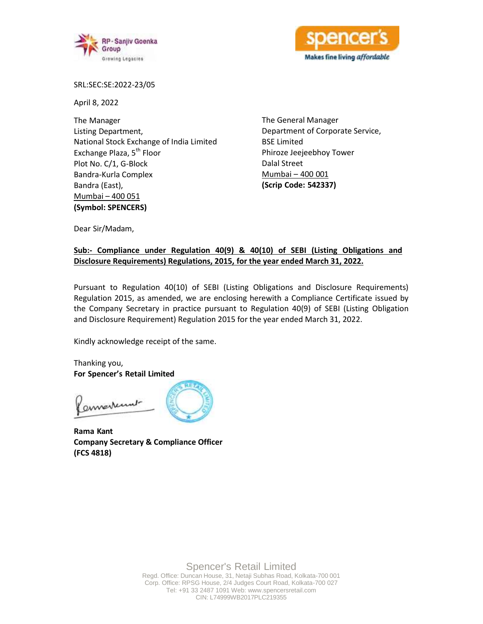



SRL:SEC:SE:2022-23/05

April 8, 2022

The Manager Listing Department, National Stock Exchange of India Limited Exchange Plaza, 5<sup>th</sup> Floor Plot No. C/1, G-Block Bandra-Kurla Complex Bandra (East), Mumbai – 400 051 **(Symbol: SPENCERS)**

The General Manager Department of Corporate Service, BSE Limited Phiroze Jeejeebhoy Tower Dalal Street Mumbai – 400 001 **(Scrip Code: 542337)**

Dear Sir/Madam,

## **Sub:- Compliance under Regulation 40(9) & 40(10) of SEBI (Listing Obligations and Disclosure Requirements) Regulations, 2015, for the year ended March 31, 2022.**

Pursuant to Regulation 40(10) of SEBI (Listing Obligations and Disclosure Requirements) Regulation 2015, as amended, we are enclosing herewith a Compliance Certificate issued by the Company Secretary in practice pursuant to Regulation 40(9) of SEBI (Listing Obligation and Disclosure Requirement) Regulation 2015 for the year ended March 31, 2022.

Kindly acknowledge receipt of the same.

Thanking you, **For Spencer's Retail Limited**

annestenut



**Rama Kant Company Secretary & Compliance Officer (FCS 4818)**